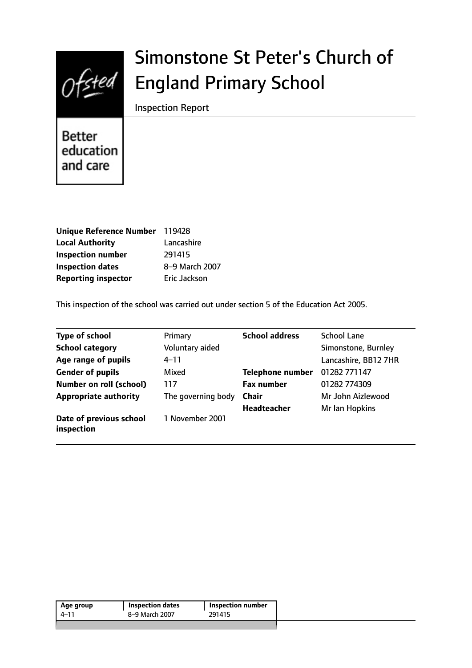

# Simonstone St Peter's Church of England Primary School

Inspection Report

Better education and care

| <b>Unique Reference Number</b> | 119428         |
|--------------------------------|----------------|
| <b>Local Authority</b>         | Lancashire     |
| <b>Inspection number</b>       | 291415         |
| <b>Inspection dates</b>        | 8-9 March 2007 |
| <b>Reporting inspector</b>     | Eric Jackson   |

This inspection of the school was carried out under section 5 of the Education Act 2005.

| <b>Type of school</b>                 | Primary            | <b>School address</b>   | <b>School Lane</b>   |
|---------------------------------------|--------------------|-------------------------|----------------------|
| <b>School category</b>                | Voluntary aided    |                         | Simonstone, Burnley  |
| Age range of pupils                   | $4 - 11$           |                         | Lancashire, BB12 7HR |
| <b>Gender of pupils</b>               | Mixed              | <b>Telephone number</b> | 01282 771147         |
| <b>Number on roll (school)</b>        | 117                | <b>Fax number</b>       | 01282 774309         |
| <b>Appropriate authority</b>          | The governing body | <b>Chair</b>            | Mr John Aizlewood    |
|                                       |                    | <b>Headteacher</b>      | Mr Ian Hopkins       |
| Date of previous school<br>inspection | 1 November 2001    |                         |                      |

| 4–11           |        |
|----------------|--------|
| 8-9 March 2007 | 291415 |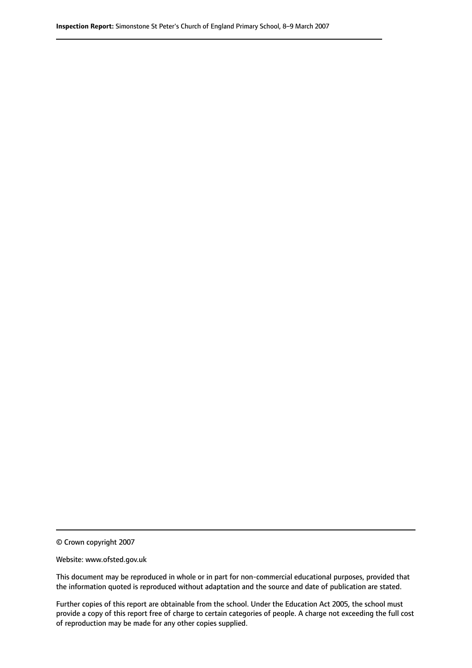© Crown copyright 2007

Website: www.ofsted.gov.uk

This document may be reproduced in whole or in part for non-commercial educational purposes, provided that the information quoted is reproduced without adaptation and the source and date of publication are stated.

Further copies of this report are obtainable from the school. Under the Education Act 2005, the school must provide a copy of this report free of charge to certain categories of people. A charge not exceeding the full cost of reproduction may be made for any other copies supplied.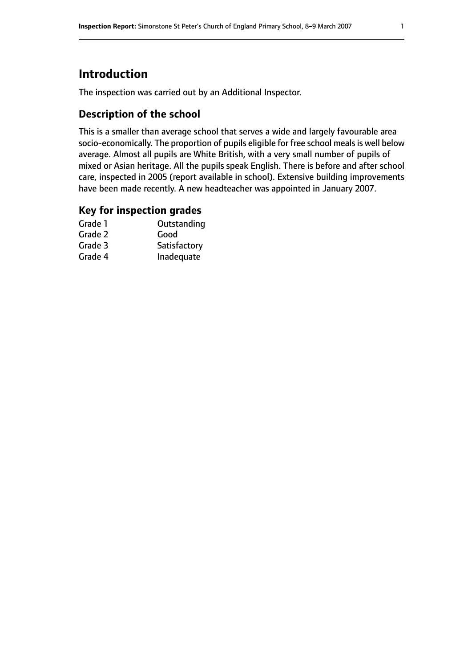# **Introduction**

The inspection was carried out by an Additional Inspector.

### **Description of the school**

This is a smaller than average school that serves a wide and largely favourable area socio-economically. The proportion of pupils eligible for free school meals is well below average. Almost all pupils are White British, with a very small number of pupils of mixed or Asian heritage. All the pupils speak English. There is before and after school care, inspected in 2005 (report available in school). Extensive building improvements have been made recently. A new headteacher was appointed in January 2007.

#### **Key for inspection grades**

| Outstanding  |
|--------------|
| Good         |
| Satisfactory |
| Inadequate   |
|              |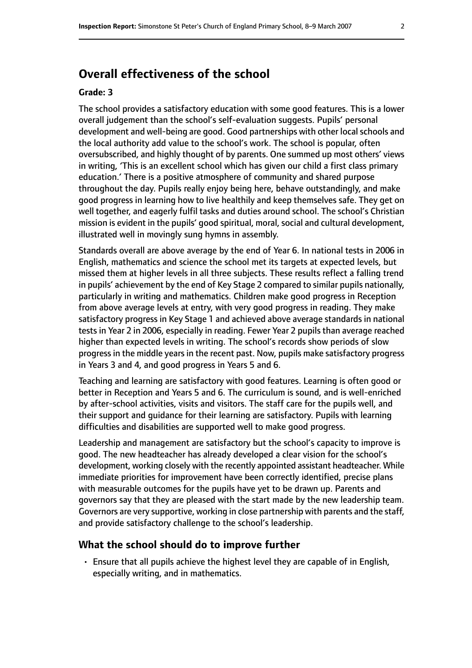# **Overall effectiveness of the school**

#### **Grade: 3**

The school provides a satisfactory education with some good features. This is a lower overall judgement than the school's self-evaluation suggests. Pupils' personal development and well-being are good. Good partnerships with other local schools and the local authority add value to the school's work. The school is popular, often oversubscribed, and highly thought of by parents. One summed up most others' views in writing, 'This is an excellent school which has given our child a first class primary education.' There is a positive atmosphere of community and shared purpose throughout the day. Pupils really enjoy being here, behave outstandingly, and make good progress in learning how to live healthily and keep themselves safe. They get on well together, and eagerly fulfil tasks and duties around school. The school's Christian mission is evident in the pupils' good spiritual, moral, social and cultural development, illustrated well in movingly sung hymns in assembly.

Standards overall are above average by the end of Year 6. In national tests in 2006 in English, mathematics and science the school met its targets at expected levels, but missed them at higher levels in all three subjects. These results reflect a falling trend in pupils' achievement by the end of Key Stage 2 compared to similar pupils nationally, particularly in writing and mathematics. Children make good progress in Reception from above average levels at entry, with very good progress in reading. They make satisfactory progress in Key Stage 1 and achieved above average standards in national tests in Year 2 in 2006, especially in reading. Fewer Year 2 pupils than average reached higher than expected levels in writing. The school's records show periods of slow progress in the middle years in the recent past. Now, pupils make satisfactory progress in Years 3 and 4, and good progress in Years 5 and 6.

Teaching and learning are satisfactory with good features. Learning is often good or better in Reception and Years 5 and 6. The curriculum is sound, and is well-enriched by after-school activities, visits and visitors. The staff care for the pupils well, and their support and guidance for their learning are satisfactory. Pupils with learning difficulties and disabilities are supported well to make good progress.

Leadership and management are satisfactory but the school's capacity to improve is good. The new headteacher has already developed a clear vision for the school's development, working closely with the recently appointed assistant headteacher. While immediate priorities for improvement have been correctly identified, precise plans with measurable outcomes for the pupils have yet to be drawn up. Parents and governors say that they are pleased with the start made by the new leadership team. Governors are very supportive, working in close partnership with parents and the staff, and provide satisfactory challenge to the school's leadership.

#### **What the school should do to improve further**

• Ensure that all pupils achieve the highest level they are capable of in English, especially writing, and in mathematics.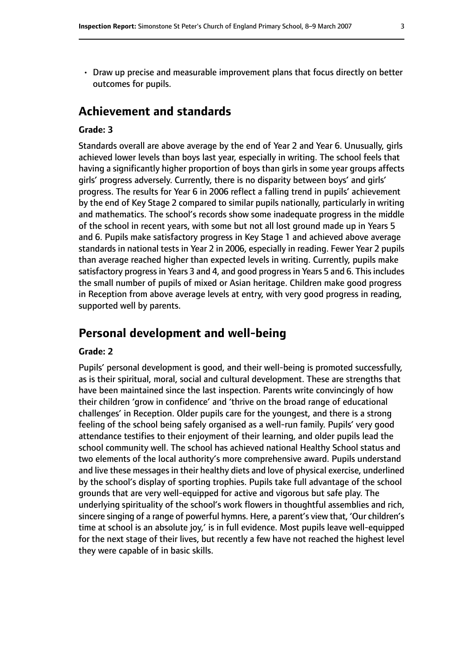• Draw up precise and measurable improvement plans that focus directly on better outcomes for pupils.

# **Achievement and standards**

#### **Grade: 3**

Standards overall are above average by the end of Year 2 and Year 6. Unusually, girls achieved lower levels than boys last year, especially in writing. The school feels that having a significantly higher proportion of boys than girls in some year groups affects girls' progress adversely. Currently, there is no disparity between boys' and girls' progress. The results for Year 6 in 2006 reflect a falling trend in pupils' achievement by the end of Key Stage 2 compared to similar pupils nationally, particularly in writing and mathematics. The school's records show some inadequate progress in the middle of the school in recent years, with some but not all lost ground made up in Years 5 and 6. Pupils make satisfactory progress in Key Stage 1 and achieved above average standards in national tests in Year 2 in 2006, especially in reading. Fewer Year 2 pupils than average reached higher than expected levels in writing. Currently, pupils make satisfactory progress in Years 3 and 4, and good progress in Years 5 and 6. This includes the small number of pupils of mixed or Asian heritage. Children make good progress in Reception from above average levels at entry, with very good progress in reading, supported well by parents.

## **Personal development and well-being**

#### **Grade: 2**

Pupils' personal development is good, and their well-being is promoted successfully, as is their spiritual, moral, social and cultural development. These are strengths that have been maintained since the last inspection. Parents write convincingly of how their children 'grow in confidence' and 'thrive on the broad range of educational challenges' in Reception. Older pupils care for the youngest, and there is a strong feeling of the school being safely organised as a well-run family. Pupils' very good attendance testifies to their enjoyment of their learning, and older pupils lead the school community well. The school has achieved national Healthy School status and two elements of the local authority's more comprehensive award. Pupils understand and live these messages in their healthy diets and love of physical exercise, underlined by the school's display of sporting trophies. Pupils take full advantage of the school grounds that are very well-equipped for active and vigorous but safe play. The underlying spirituality of the school's work flowers in thoughtful assemblies and rich, sincere singing of a range of powerful hymns. Here, a parent's view that, 'Our children's time at school is an absolute joy,' is in full evidence. Most pupils leave well-equipped for the next stage of their lives, but recently a few have not reached the highest level they were capable of in basic skills.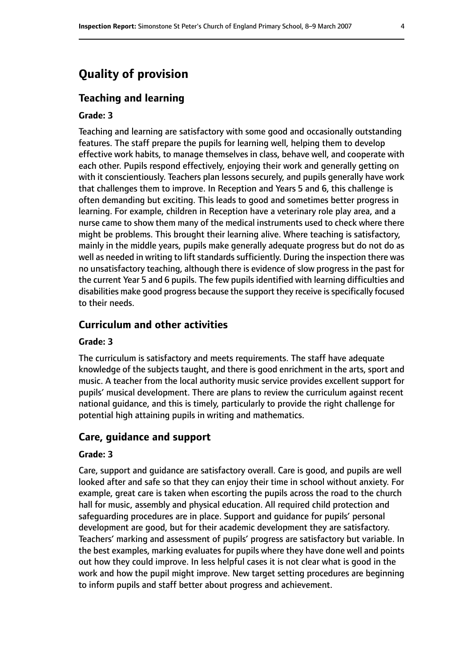# **Quality of provision**

#### **Teaching and learning**

#### **Grade: 3**

Teaching and learning are satisfactory with some good and occasionally outstanding features. The staff prepare the pupils for learning well, helping them to develop effective work habits, to manage themselves in class, behave well, and cooperate with each other. Pupils respond effectively, enjoying their work and generally getting on with it conscientiously. Teachers plan lessons securely, and pupils generally have work that challenges them to improve. In Reception and Years 5 and 6, this challenge is often demanding but exciting. This leads to good and sometimes better progress in learning. For example, children in Reception have a veterinary role play area, and a nurse came to show them many of the medical instruments used to check where there might be problems. This brought their learning alive. Where teaching is satisfactory, mainly in the middle years, pupils make generally adequate progress but do not do as well as needed in writing to lift standards sufficiently. During the inspection there was no unsatisfactory teaching, although there is evidence of slow progress in the past for the current Year 5 and 6 pupils. The few pupils identified with learning difficulties and disabilities make good progress because the support they receive is specifically focused to their needs.

#### **Curriculum and other activities**

#### **Grade: 3**

The curriculum is satisfactory and meets requirements. The staff have adequate knowledge of the subjects taught, and there is good enrichment in the arts, sport and music. A teacher from the local authority music service provides excellent support for pupils' musical development. There are plans to review the curriculum against recent national guidance, and this is timely, particularly to provide the right challenge for potential high attaining pupils in writing and mathematics.

#### **Care, guidance and support**

#### **Grade: 3**

Care, support and guidance are satisfactory overall. Care is good, and pupils are well looked after and safe so that they can enjoy their time in school without anxiety. For example, great care is taken when escorting the pupils across the road to the church hall for music, assembly and physical education. All required child protection and safeguarding procedures are in place. Support and guidance for pupils' personal development are good, but for their academic development they are satisfactory. Teachers' marking and assessment of pupils' progress are satisfactory but variable. In the best examples, marking evaluates for pupils where they have done well and points out how they could improve. In less helpful cases it is not clear what is good in the work and how the pupil might improve. New target setting procedures are beginning to inform pupils and staff better about progress and achievement.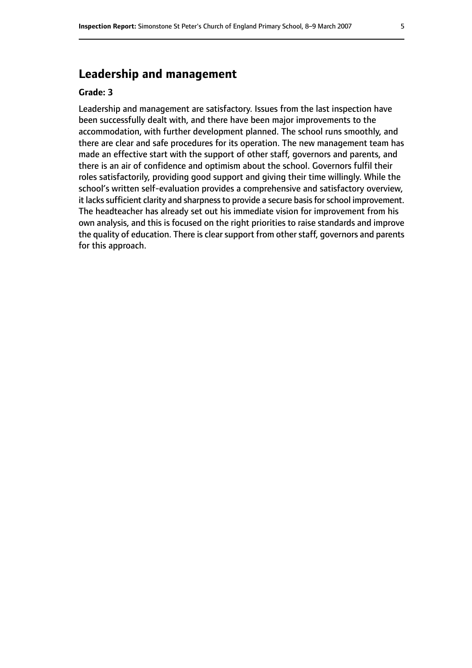# **Leadership and management**

#### **Grade: 3**

Leadership and management are satisfactory. Issues from the last inspection have been successfully dealt with, and there have been major improvements to the accommodation, with further development planned. The school runs smoothly, and there are clear and safe procedures for its operation. The new management team has made an effective start with the support of other staff, governors and parents, and there is an air of confidence and optimism about the school. Governors fulfil their roles satisfactorily, providing good support and giving their time willingly. While the school's written self-evaluation provides a comprehensive and satisfactory overview, it lacks sufficient clarity and sharpness to provide a secure basis for school improvement. The headteacher has already set out his immediate vision for improvement from his own analysis, and this is focused on the right priorities to raise standards and improve the quality of education. There is clear support from other staff, governors and parents for this approach.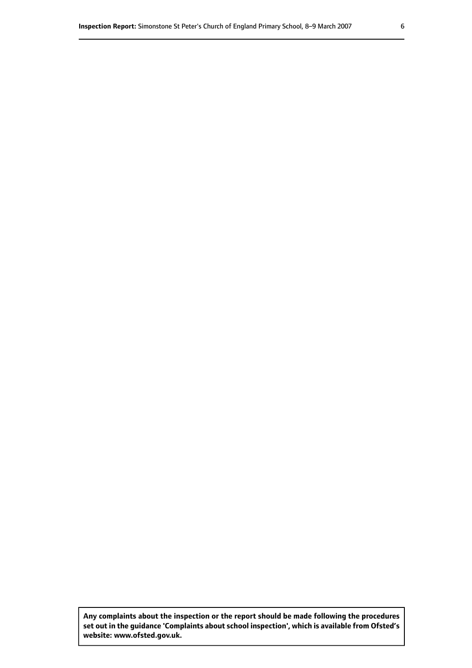**Any complaints about the inspection or the report should be made following the procedures set out inthe guidance 'Complaints about school inspection', whichis available from Ofsted's website: www.ofsted.gov.uk.**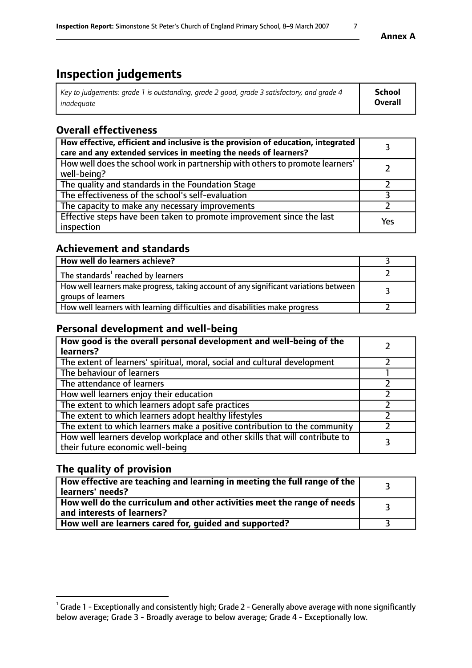# **Inspection judgements**

| Key to judgements: grade 1 is outstanding, grade 2 good, grade 3 satisfactory, and grade 4 | School         |
|--------------------------------------------------------------------------------------------|----------------|
| inadeauate                                                                                 | <b>Overall</b> |

# **Overall effectiveness**

| How effective, efficient and inclusive is the provision of education, integrated<br>care and any extended services in meeting the needs of learners? |     |
|------------------------------------------------------------------------------------------------------------------------------------------------------|-----|
| How well does the school work in partnership with others to promote learners'<br>well-being?                                                         |     |
| The quality and standards in the Foundation Stage                                                                                                    |     |
| The effectiveness of the school's self-evaluation                                                                                                    |     |
| The capacity to make any necessary improvements                                                                                                      |     |
| Effective steps have been taken to promote improvement since the last<br>inspection                                                                  | Yes |

# **Achievement and standards**

| How well do learners achieve?                                                                               |  |
|-------------------------------------------------------------------------------------------------------------|--|
| The standards <sup>1</sup> reached by learners                                                              |  |
| How well learners make progress, taking account of any significant variations between<br>groups of learners |  |
| How well learners with learning difficulties and disabilities make progress                                 |  |

# **Personal development and well-being**

| How good is the overall personal development and well-being of the<br>learners?                                  |  |
|------------------------------------------------------------------------------------------------------------------|--|
| The extent of learners' spiritual, moral, social and cultural development                                        |  |
| The behaviour of learners                                                                                        |  |
| The attendance of learners                                                                                       |  |
| How well learners enjoy their education                                                                          |  |
| The extent to which learners adopt safe practices                                                                |  |
| The extent to which learners adopt healthy lifestyles                                                            |  |
| The extent to which learners make a positive contribution to the community                                       |  |
| How well learners develop workplace and other skills that will contribute to<br>their future economic well-being |  |

# **The quality of provision**

| How effective are teaching and learning in meeting the full range of the<br>learners' needs?          |  |
|-------------------------------------------------------------------------------------------------------|--|
| How well do the curriculum and other activities meet the range of needs<br>and interests of learners? |  |
| How well are learners cared for, quided and supported?                                                |  |

 $^1$  Grade 1 - Exceptionally and consistently high; Grade 2 - Generally above average with none significantly below average; Grade 3 - Broadly average to below average; Grade 4 - Exceptionally low.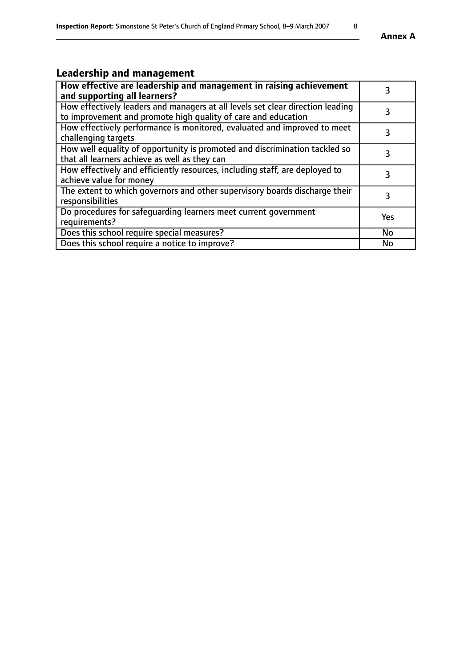# **Leadership and management**

| How effective are leadership and management in raising achievement<br>and supporting all learners?                                              | 3         |
|-------------------------------------------------------------------------------------------------------------------------------------------------|-----------|
| How effectively leaders and managers at all levels set clear direction leading<br>to improvement and promote high quality of care and education |           |
| How effectively performance is monitored, evaluated and improved to meet<br>challenging targets                                                 | 3         |
| How well equality of opportunity is promoted and discrimination tackled so<br>that all learners achieve as well as they can                     |           |
| How effectively and efficiently resources, including staff, are deployed to<br>achieve value for money                                          | 3         |
| The extent to which governors and other supervisory boards discharge their<br>responsibilities                                                  | 3         |
| Do procedures for safequarding learners meet current government<br>requirements?                                                                | Yes       |
| Does this school require special measures?                                                                                                      | No        |
| Does this school require a notice to improve?                                                                                                   | <b>No</b> |